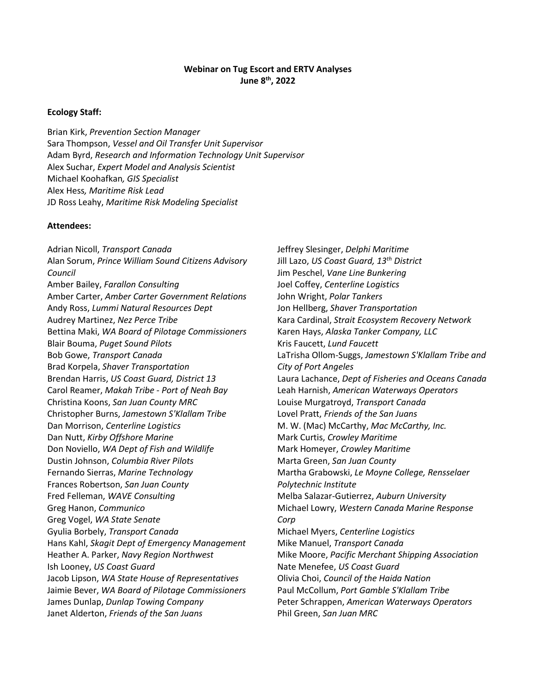#### **Webinar on Tug Escort and ERTV Analyses June 8 th, 2022**

#### **Ecology Staff:**

Brian Kirk, *Prevention Section Manager* Sara Thompson, *Vessel and Oil Transfer Unit Supervisor* Adam Byrd, *Research and Information Technology Unit Supervisor* Alex Suchar, *Expert Model and Analysis Scientist* Michael Koohafkan*, GIS Specialist* Alex Hess*, Maritime Risk Lead* JD Ross Leahy, *Maritime Risk Modeling Specialist*

#### **Attendees:**

Adrian Nicoll, *Transport Canada* Alan Sorum, *Prince William Sound Citizens Advisory Council* Amber Bailey, *Farallon Consulting* Amber Carter, *Amber Carter Government Relations* Andy Ross, *Lummi Natural Resources Dept* Audrey Martinez, *Nez Perce Tribe* Bettina Maki, *WA Board of Pilotage Commissioners* Blair Bouma, *Puget Sound Pilots* Bob Gowe, *Transport Canada* Brad Korpela, *Shaver Transportation* Brendan Harris, *US Coast Guard, District 13* Carol Reamer, *Makah Tribe - Port of Neah Bay* Christina Koons, *San Juan County MRC* Christopher Burns, *Jamestown S'Klallam Tribe* Dan Morrison, *Centerline Logistics* Dan Nutt, *Kirby Offshore Marine* Don Noviello, *WA Dept of Fish and Wildlife* Dustin Johnson, *Columbia River Pilots* Fernando Sierras, *Marine Technology* Frances Robertson, *San Juan County* Fred Felleman, *WAVE Consulting* Greg Hanon, *Communico* Greg Vogel, *WA State Senate* Gyulia Borbely, *Transport Canada* Hans Kahl, *Skagit Dept of Emergency Management* Heather A. Parker, *Navy Region Northwest* Ish Looney, *US Coast Guard* Jacob Lipson, *WA State House of Representatives* Jaimie Bever, *WA Board of Pilotage Commissioners* James Dunlap, *Dunlap Towing Company* Janet Alderton, *Friends of the San Juans*

Jeffrey Slesinger, *Delphi Maritime* Jill Lazo, *US Coast Guard, 13th District* Jim Peschel, *Vane Line Bunkering* Joel Coffey, *Centerline Logistics* John Wright, *Polar Tankers* Jon Hellberg, *Shaver Transportation* Kara Cardinal, *Strait Ecosystem Recovery Network* Karen Hays, *Alaska Tanker Company, LLC* Kris Faucett, *Lund Faucett* LaTrisha Ollom-Suggs, *Jamestown S'Klallam Tribe and City of Port Angeles* Laura Lachance, *Dept of Fisheries and Oceans Canada* Leah Harnish, *American Waterways Operators* Louise Murgatroyd, *Transport Canada* Lovel Pratt, *Friends of the San Juans* M. W. (Mac) McCarthy, *Mac McCarthy, Inc.* Mark Curtis, *Crowley Maritime* Mark Homeyer, *Crowley Maritime* Marta Green, *San Juan County* Martha Grabowski, *Le Moyne College, Rensselaer Polytechnic Institute* Melba Salazar-Gutierrez, *Auburn University* Michael Lowry, *Western Canada Marine Response Corp* Michael Myers, *Centerline Logistics* Mike Manuel, *Transport Canada* Mike Moore, *Pacific Merchant Shipping Association* Nate Menefee, *US Coast Guard* Olivia Choi, *Council of the Haida Nation* Paul McCollum, *Port Gamble S'Klallam Tribe* Peter Schrappen, *American Waterways Operators* Phil Green, *San Juan MRC*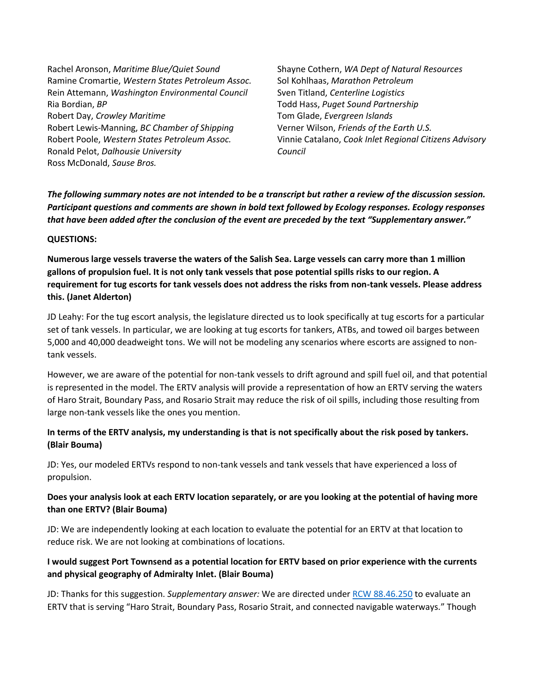Rachel Aronson, *Maritime Blue/Quiet Sound* Ramine Cromartie, *Western States Petroleum Assoc.* Rein Attemann, *Washington Environmental Council* Ria Bordian, *BP* Robert Day, *Crowley Maritime* Robert Lewis-Manning, *BC Chamber of Shipping* Robert Poole, *Western States Petroleum Assoc.* Ronald Pelot, *Dalhousie University* Ross McDonald, *Sause Bros.*

Shayne Cothern, *WA Dept of Natural Resources* Sol Kohlhaas, *Marathon Petroleum* Sven Titland, *Centerline Logistics* Todd Hass, *Puget Sound Partnership* Tom Glade, *Evergreen Islands* Verner Wilson, *Friends of the Earth U.S.* Vinnie Catalano, *Cook Inlet Regional Citizens Advisory Council*

*The following summary notes are not intended to be a transcript but rather a review of the discussion session. Participant questions and comments are shown in bold text followed by Ecology responses. Ecology responses that have been added after the conclusion of the event are preceded by the text "Supplementary answer."*

#### **QUESTIONS:**

**Numerous large vessels traverse the waters of the Salish Sea. Large vessels can carry more than 1 million gallons of propulsion fuel. It is not only tank vessels that pose potential spills risks to our region. A requirement for tug escorts for tank vessels does not address the risks from non-tank vessels. Please address this. (Janet Alderton)**

JD Leahy: For the tug escort analysis, the legislature directed us to look specifically at tug escorts for a particular set of tank vessels. In particular, we are looking at tug escorts for tankers, ATBs, and towed oil barges between 5,000 and 40,000 deadweight tons. We will not be modeling any scenarios where escorts are assigned to nontank vessels.

However, we are aware of the potential for non-tank vessels to drift aground and spill fuel oil, and that potential is represented in the model. The ERTV analysis will provide a representation of how an ERTV serving the waters of Haro Strait, Boundary Pass, and Rosario Strait may reduce the risk of oil spills, including those resulting from large non-tank vessels like the ones you mention.

#### **In terms of the ERTV analysis, my understanding is that is not specifically about the risk posed by tankers. (Blair Bouma)**

JD: Yes, our modeled ERTVs respond to non-tank vessels and tank vessels that have experienced a loss of propulsion.

### **Does your analysis look at each ERTV location separately, or are you looking at the potential of having more than one ERTV? (Blair Bouma)**

JD: We are independently looking at each location to evaluate the potential for an ERTV at that location to reduce risk. We are not looking at combinations of locations.

#### **I would suggest Port Townsend as a potential location for ERTV based on prior experience with the currents and physical geography of Admiralty Inlet. (Blair Bouma)**

JD: Thanks for this suggestion. *Supplementary answer:* We are directed under [RCW 88.46.250](https://app.leg.wa.gov/RCW/default.aspx?cite=88.46.250) to evaluate an ERTV that is serving "Haro Strait, Boundary Pass, Rosario Strait, and connected navigable waterways." Though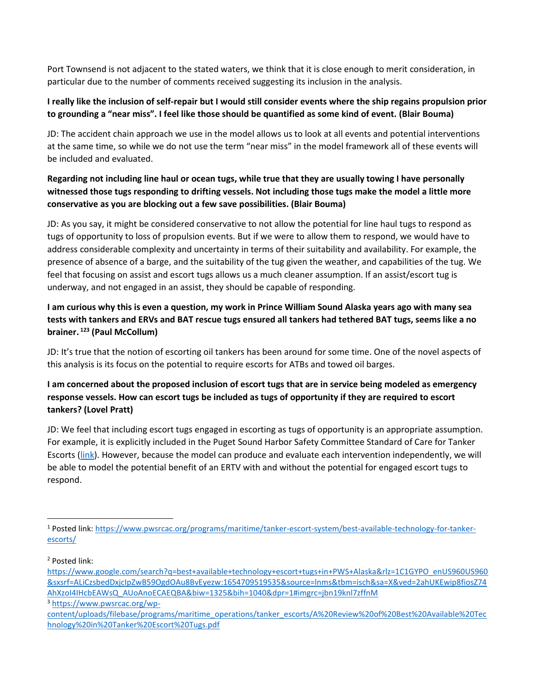Port Townsend is not adjacent to the stated waters, we think that it is close enough to merit consideration, in particular due to the number of comments received suggesting its inclusion in the analysis.

## **I really like the inclusion of self-repair but I would still consider events where the ship regains propulsion prior to grounding a "near miss". I feel like those should be quantified as some kind of event. (Blair Bouma)**

JD: The accident chain approach we use in the model allows us to look at all events and potential interventions at the same time, so while we do not use the term "near miss" in the model framework all of these events will be included and evaluated.

# **Regarding not including line haul or ocean tugs, while true that they are usually towing I have personally witnessed those tugs responding to drifting vessels. Not including those tugs make the model a little more conservative as you are blocking out a few save possibilities. (Blair Bouma)**

JD: As you say, it might be considered conservative to not allow the potential for line haul tugs to respond as tugs of opportunity to loss of propulsion events. But if we were to allow them to respond, we would have to address considerable complexity and uncertainty in terms of their suitability and availability. For example, the presence of absence of a barge, and the suitability of the tug given the weather, and capabilities of the tug. We feel that focusing on assist and escort tugs allows us a much cleaner assumption. If an assist/escort tug is underway, and not engaged in an assist, they should be capable of responding.

# **I am curious why this is even a question, my work in Prince William Sound Alaska years ago with many sea tests with tankers and ERVs and BAT rescue tugs ensured all tankers had tethered BAT tugs, seems like a no brainer. 123 (Paul McCollum)**

JD: It's true that the notion of escorting oil tankers has been around for some time. One of the novel aspects of this analysis is its focus on the potential to require escorts for ATBs and towed oil barges.

## **I am concerned about the proposed inclusion of escort tugs that are in service being modeled as emergency response vessels. How can escort tugs be included as tugs of opportunity if they are required to escort tankers? (Lovel Pratt)**

JD: We feel that including escort tugs engaged in escorting as tugs of opportunity is an appropriate assumption. For example, it is explicitly included in the Puget Sound Harbor Safety Committee Standard of Care for Tanker Escorts [\(link\)](https://static1.squarespace.com/static/59356b2ce3df280bc208d8b6/t/59716f06e4fcb5195807a925/1500606214267/zHSP+Sec+C+-+Tanker+Escort.pdf). However, because the model can produce and evaluate each intervention independently, we will be able to model the potential benefit of an ERTV with and without the potential for engaged escort tugs to respond.

 $\overline{a}$ 

<sup>3</sup> [https://www.pwsrcac.org/wp-](https://www.pwsrcac.org/wp-content/uploads/filebase/programs/maritime_operations/tanker_escorts/A%20Review%20of%20Best%20Available%20Technology%20in%20Tanker%20Escort%20Tugs.pdf)

<sup>1</sup> Posted link: [https://www.pwsrcac.org/programs/maritime/tanker-escort-system/best-available-technology-for-tanker](https://www.pwsrcac.org/programs/maritime/tanker-escort-system/best-available-technology-for-tanker-escorts/)[escorts/](https://www.pwsrcac.org/programs/maritime/tanker-escort-system/best-available-technology-for-tanker-escorts/)

<sup>2</sup> Posted link:

[https://www.google.com/search?q=best+available+technology+escort+tugs+in+PWS+Alaska&rlz=1C1GYPO\\_enUS960US960](https://www.google.com/search?q=best+available+technology+escort+tugs+in+PWS+Alaska&rlz=1C1GYPO_enUS960US960&sxsrf=ALiCzsbedDxjcIpZwB59OgdOAu8BvEyezw:1654709519535&source=lnms&tbm=isch&sa=X&ved=2ahUKEwip8fiosZ74AhXzoI4IHcbEAWsQ_AUoAnoECAEQBA&biw=1325&bih=1040&dpr=1#imgrc=jbn19knl7zffnM) [&sxsrf=ALiCzsbedDxjcIpZwB59OgdOAu8BvEyezw:1654709519535&source=lnms&tbm=isch&sa=X&ved=2ahUKEwip8fiosZ74](https://www.google.com/search?q=best+available+technology+escort+tugs+in+PWS+Alaska&rlz=1C1GYPO_enUS960US960&sxsrf=ALiCzsbedDxjcIpZwB59OgdOAu8BvEyezw:1654709519535&source=lnms&tbm=isch&sa=X&ved=2ahUKEwip8fiosZ74AhXzoI4IHcbEAWsQ_AUoAnoECAEQBA&biw=1325&bih=1040&dpr=1#imgrc=jbn19knl7zffnM) [AhXzoI4IHcbEAWsQ\\_AUoAnoECAEQBA&biw=1325&bih=1040&dpr=1#imgrc=jbn19knl7zffnM](https://www.google.com/search?q=best+available+technology+escort+tugs+in+PWS+Alaska&rlz=1C1GYPO_enUS960US960&sxsrf=ALiCzsbedDxjcIpZwB59OgdOAu8BvEyezw:1654709519535&source=lnms&tbm=isch&sa=X&ved=2ahUKEwip8fiosZ74AhXzoI4IHcbEAWsQ_AUoAnoECAEQBA&biw=1325&bih=1040&dpr=1#imgrc=jbn19knl7zffnM)

[content/uploads/filebase/programs/maritime\\_operations/tanker\\_escorts/A%20Review%20of%20Best%20Available%20Tec](https://www.pwsrcac.org/wp-content/uploads/filebase/programs/maritime_operations/tanker_escorts/A%20Review%20of%20Best%20Available%20Technology%20in%20Tanker%20Escort%20Tugs.pdf) [hnology%20in%20Tanker%20Escort%20Tugs.pdf](https://www.pwsrcac.org/wp-content/uploads/filebase/programs/maritime_operations/tanker_escorts/A%20Review%20of%20Best%20Available%20Technology%20in%20Tanker%20Escort%20Tugs.pdf)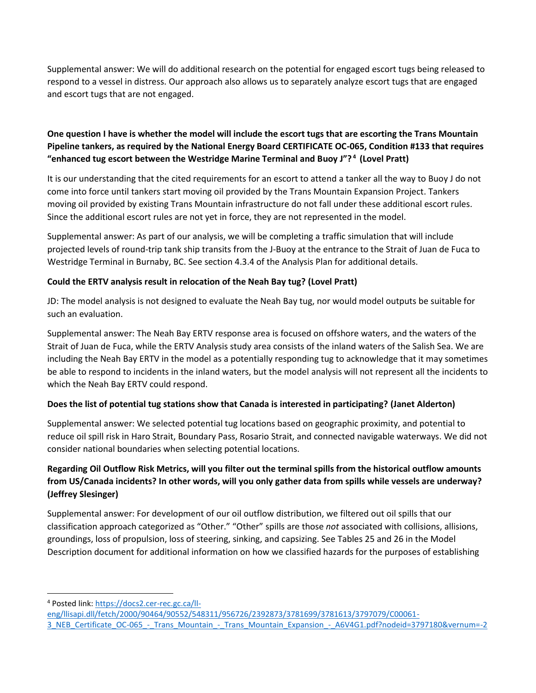Supplemental answer: We will do additional research on the potential for engaged escort tugs being released to respond to a vessel in distress. Our approach also allows us to separately analyze escort tugs that are engaged and escort tugs that are not engaged.

## **One question I have is whether the model will include the escort tugs that are escorting the Trans Mountain Pipeline tankers, as required by the National Energy Board CERTIFICATE OC-065, Condition #133 that requires "enhanced tug escort between the Westridge Marine Terminal and Buoy J"? <sup>4</sup> (Lovel Pratt)**

It is our understanding that the cited requirements for an escort to attend a tanker all the way to Buoy J do not come into force until tankers start moving oil provided by the Trans Mountain Expansion Project. Tankers moving oil provided by existing Trans Mountain infrastructure do not fall under these additional escort rules. Since the additional escort rules are not yet in force, they are not represented in the model.

Supplemental answer: As part of our analysis, we will be completing a traffic simulation that will include projected levels of round-trip tank ship transits from the J-Buoy at the entrance to the Strait of Juan de Fuca to Westridge Terminal in Burnaby, BC. See section 4.3.4 of the Analysis Plan for additional details.

## **Could the ERTV analysis result in relocation of the Neah Bay tug? (Lovel Pratt)**

JD: The model analysis is not designed to evaluate the Neah Bay tug, nor would model outputs be suitable for such an evaluation.

Supplemental answer: The Neah Bay ERTV response area is focused on offshore waters, and the waters of the Strait of Juan de Fuca, while the ERTV Analysis study area consists of the inland waters of the Salish Sea. We are including the Neah Bay ERTV in the model as a potentially responding tug to acknowledge that it may sometimes be able to respond to incidents in the inland waters, but the model analysis will not represent all the incidents to which the Neah Bay ERTV could respond.

## **Does the list of potential tug stations show that Canada is interested in participating? (Janet Alderton)**

Supplemental answer: We selected potential tug locations based on geographic proximity, and potential to reduce oil spill risk in Haro Strait, Boundary Pass, Rosario Strait, and connected navigable waterways. We did not consider national boundaries when selecting potential locations.

# **Regarding Oil Outflow Risk Metrics, will you filter out the terminal spills from the historical outflow amounts from US/Canada incidents? In other words, will you only gather data from spills while vessels are underway? (Jeffrey Slesinger)**

Supplemental answer: For development of our oil outflow distribution, we filtered out oil spills that our classification approach categorized as "Other." "Other" spills are those *not* associated with collisions, allisions, groundings, loss of propulsion, loss of steering, sinking, and capsizing. See Tables 25 and 26 in the Model Description document for additional information on how we classified hazards for the purposes of establishing

 $\overline{a}$ <sup>4</sup> Posted link: [https://docs2.cer-rec.gc.ca/ll-](https://docs2.cer-rec.gc.ca/ll-eng/llisapi.dll/fetch/2000/90464/90552/548311/956726/2392873/3781699/3781613/3797079/C00061-3_NEB_Certificate_OC-065_-_Trans_Mountain_-_Trans_Mountain_Expansion_-_A6V4G1.pdf?nodeid=3797180&vernum=-2)

[eng/llisapi.dll/fetch/2000/90464/90552/548311/956726/2392873/3781699/3781613/3797079/C00061-](https://docs2.cer-rec.gc.ca/ll-eng/llisapi.dll/fetch/2000/90464/90552/548311/956726/2392873/3781699/3781613/3797079/C00061-3_NEB_Certificate_OC-065_-_Trans_Mountain_-_Trans_Mountain_Expansion_-_A6V4G1.pdf?nodeid=3797180&vernum=-2)

[<sup>3</sup>\\_NEB\\_Certificate\\_OC-065\\_-\\_Trans\\_Mountain\\_-\\_Trans\\_Mountain\\_Expansion\\_-\\_A6V4G1.pdf?nodeid=3797180&vernum=-2](https://docs2.cer-rec.gc.ca/ll-eng/llisapi.dll/fetch/2000/90464/90552/548311/956726/2392873/3781699/3781613/3797079/C00061-3_NEB_Certificate_OC-065_-_Trans_Mountain_-_Trans_Mountain_Expansion_-_A6V4G1.pdf?nodeid=3797180&vernum=-2)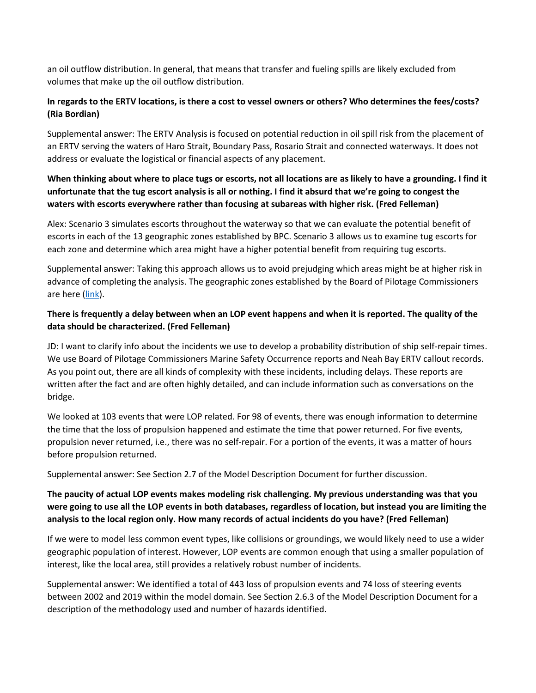an oil outflow distribution. In general, that means that transfer and fueling spills are likely excluded from volumes that make up the oil outflow distribution.

## **In regards to the ERTV locations, is there a cost to vessel owners or others? Who determines the fees/costs? (Ria Bordian)**

Supplemental answer: The ERTV Analysis is focused on potential reduction in oil spill risk from the placement of an ERTV serving the waters of Haro Strait, Boundary Pass, Rosario Strait and connected waterways. It does not address or evaluate the logistical or financial aspects of any placement.

## **When thinking about where to place tugs or escorts, not all locations are as likely to have a grounding. I find it unfortunate that the tug escort analysis is all or nothing. I find it absurd that we're going to congest the waters with escorts everywhere rather than focusing at subareas with higher risk. (Fred Felleman)**

Alex: Scenario 3 simulates escorts throughout the waterway so that we can evaluate the potential benefit of escorts in each of the 13 geographic zones established by BPC. Scenario 3 allows us to examine tug escorts for each zone and determine which area might have a higher potential benefit from requiring tug escorts.

Supplemental answer: Taking this approach allows us to avoid prejudging which areas might be at higher risk in advance of completing the analysis. The geographic zones established by the Board of Pilotage Commissioners are here [\(link\)](https://nebula.wsimg.com/a0c4bc354f3ca9d89232d290d537fcf8?AccessKeyId=F86D0A1E7A0091C2061F&disposition=0&alloworigin=1).

## **There is frequently a delay between when an LOP event happens and when it is reported. The quality of the data should be characterized. (Fred Felleman)**

JD: I want to clarify info about the incidents we use to develop a probability distribution of ship self-repair times. We use Board of Pilotage Commissioners Marine Safety Occurrence reports and Neah Bay ERTV callout records. As you point out, there are all kinds of complexity with these incidents, including delays. These reports are written after the fact and are often highly detailed, and can include information such as conversations on the bridge.

We looked at 103 events that were LOP related. For 98 of events, there was enough information to determine the time that the loss of propulsion happened and estimate the time that power returned. For five events, propulsion never returned, i.e., there was no self-repair. For a portion of the events, it was a matter of hours before propulsion returned.

Supplemental answer: See Section 2.7 of the Model Description Document for further discussion.

## **The paucity of actual LOP events makes modeling risk challenging. My previous understanding was that you were going to use all the LOP events in both databases, regardless of location, but instead you are limiting the analysis to the local region only. How many records of actual incidents do you have? (Fred Felleman)**

If we were to model less common event types, like collisions or groundings, we would likely need to use a wider geographic population of interest. However, LOP events are common enough that using a smaller population of interest, like the local area, still provides a relatively robust number of incidents.

Supplemental answer: We identified a total of 443 loss of propulsion events and 74 loss of steering events between 2002 and 2019 within the model domain. See Section 2.6.3 of the Model Description Document for a description of the methodology used and number of hazards identified.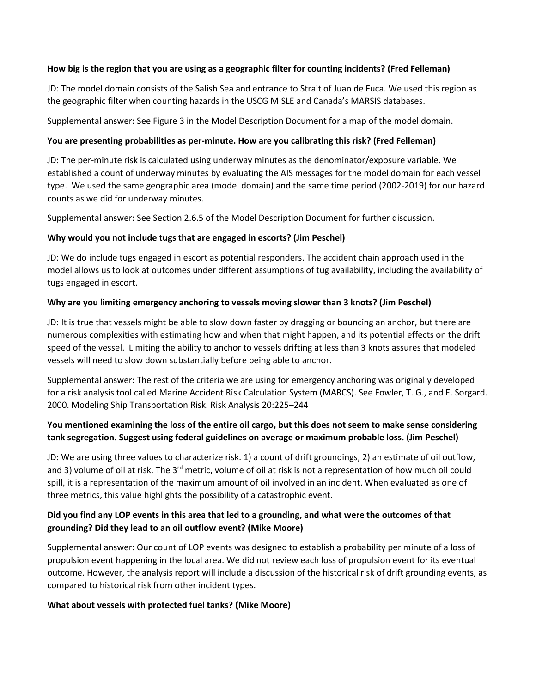#### **How big is the region that you are using as a geographic filter for counting incidents? (Fred Felleman)**

JD: The model domain consists of the Salish Sea and entrance to Strait of Juan de Fuca. We used this region as the geographic filter when counting hazards in the USCG MISLE and Canada's MARSIS databases.

Supplemental answer: See Figure 3 in the Model Description Document for a map of the model domain.

#### **You are presenting probabilities as per-minute. How are you calibrating this risk? (Fred Felleman)**

JD: The per-minute risk is calculated using underway minutes as the denominator/exposure variable. We established a count of underway minutes by evaluating the AIS messages for the model domain for each vessel type. We used the same geographic area (model domain) and the same time period (2002-2019) for our hazard counts as we did for underway minutes.

Supplemental answer: See Section 2.6.5 of the Model Description Document for further discussion.

#### **Why would you not include tugs that are engaged in escorts? (Jim Peschel)**

JD: We do include tugs engaged in escort as potential responders. The accident chain approach used in the model allows us to look at outcomes under different assumptions of tug availability, including the availability of tugs engaged in escort.

#### **Why are you limiting emergency anchoring to vessels moving slower than 3 knots? (Jim Peschel)**

JD: It is true that vessels might be able to slow down faster by dragging or bouncing an anchor, but there are numerous complexities with estimating how and when that might happen, and its potential effects on the drift speed of the vessel. Limiting the ability to anchor to vessels drifting at less than 3 knots assures that modeled vessels will need to slow down substantially before being able to anchor.

Supplemental answer: The rest of the criteria we are using for emergency anchoring was originally developed for a risk analysis tool called Marine Accident Risk Calculation System (MARCS). See Fowler, T. G., and E. Sorgard. 2000. Modeling Ship Transportation Risk. Risk Analysis 20:225–244

## **You mentioned examining the loss of the entire oil cargo, but this does not seem to make sense considering tank segregation. Suggest using federal guidelines on average or maximum probable loss. (Jim Peschel)**

JD: We are using three values to characterize risk. 1) a count of drift groundings, 2) an estimate of oil outflow, and 3) volume of oil at risk. The  $3^{rd}$  metric, volume of oil at risk is not a representation of how much oil could spill, it is a representation of the maximum amount of oil involved in an incident. When evaluated as one of three metrics, this value highlights the possibility of a catastrophic event.

#### **Did you find any LOP events in this area that led to a grounding, and what were the outcomes of that grounding? Did they lead to an oil outflow event? (Mike Moore)**

Supplemental answer: Our count of LOP events was designed to establish a probability per minute of a loss of propulsion event happening in the local area. We did not review each loss of propulsion event for its eventual outcome. However, the analysis report will include a discussion of the historical risk of drift grounding events, as compared to historical risk from other incident types.

#### **What about vessels with protected fuel tanks? (Mike Moore)**